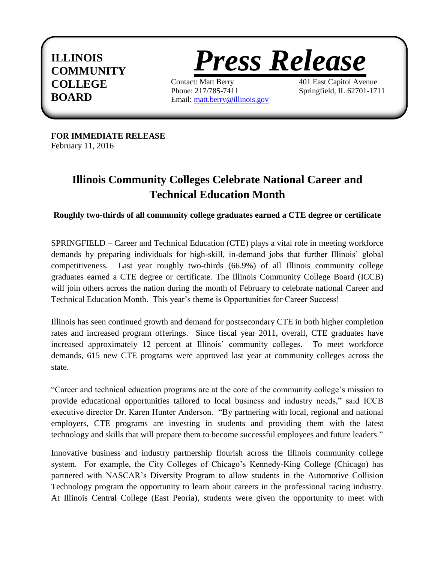## **ILLINOIS COMMUNITY COLLEGE BOARD**



Contact: Matt Berry 401 East Capitol Avenue Phone: 217/785-7411 Springfield, IL 62701-1711 Email: [matt.berry@illinois.gov](mailto:matt.berry@illinois.gov)

**FOR IMMEDIATE RELEASE** February 11, 2016

## **Illinois Community Colleges Celebrate National Career and Technical Education Month**

**Roughly two-thirds of all community college graduates earned a CTE degree or certificate**

SPRINGFIELD – Career and Technical Education (CTE) plays a vital role in meeting workforce demands by preparing individuals for high-skill, in-demand jobs that further Illinois' global competitiveness. Last year roughly two-thirds (66.9%) of all Illinois community college graduates earned a CTE degree or certificate. The Illinois Community College Board (ICCB) will join others across the nation during the month of February to celebrate national Career and Technical Education Month. This year's theme is Opportunities for Career Success!

Illinois has seen continued growth and demand for postsecondary CTE in both higher completion rates and increased program offerings. Since fiscal year 2011, overall, CTE graduates have increased approximately 12 percent at Illinois' community colleges. To meet workforce demands, 615 new CTE programs were approved last year at community colleges across the state.

"Career and technical education programs are at the core of the community college's mission to provide educational opportunities tailored to local business and industry needs," said ICCB executive director Dr. Karen Hunter Anderson. "By partnering with local, regional and national employers, CTE programs are investing in students and providing them with the latest technology and skills that will prepare them to become successful employees and future leaders."

Innovative business and industry partnership flourish across the Illinois community college system. For example, the City Colleges of Chicago's Kennedy-King College (Chicago) has partnered with NASCAR's Diversity Program to allow students in the Automotive Collision Technology program the opportunity to learn about careers in the professional racing industry. At Illinois Central College (East Peoria), students were given the opportunity to meet with